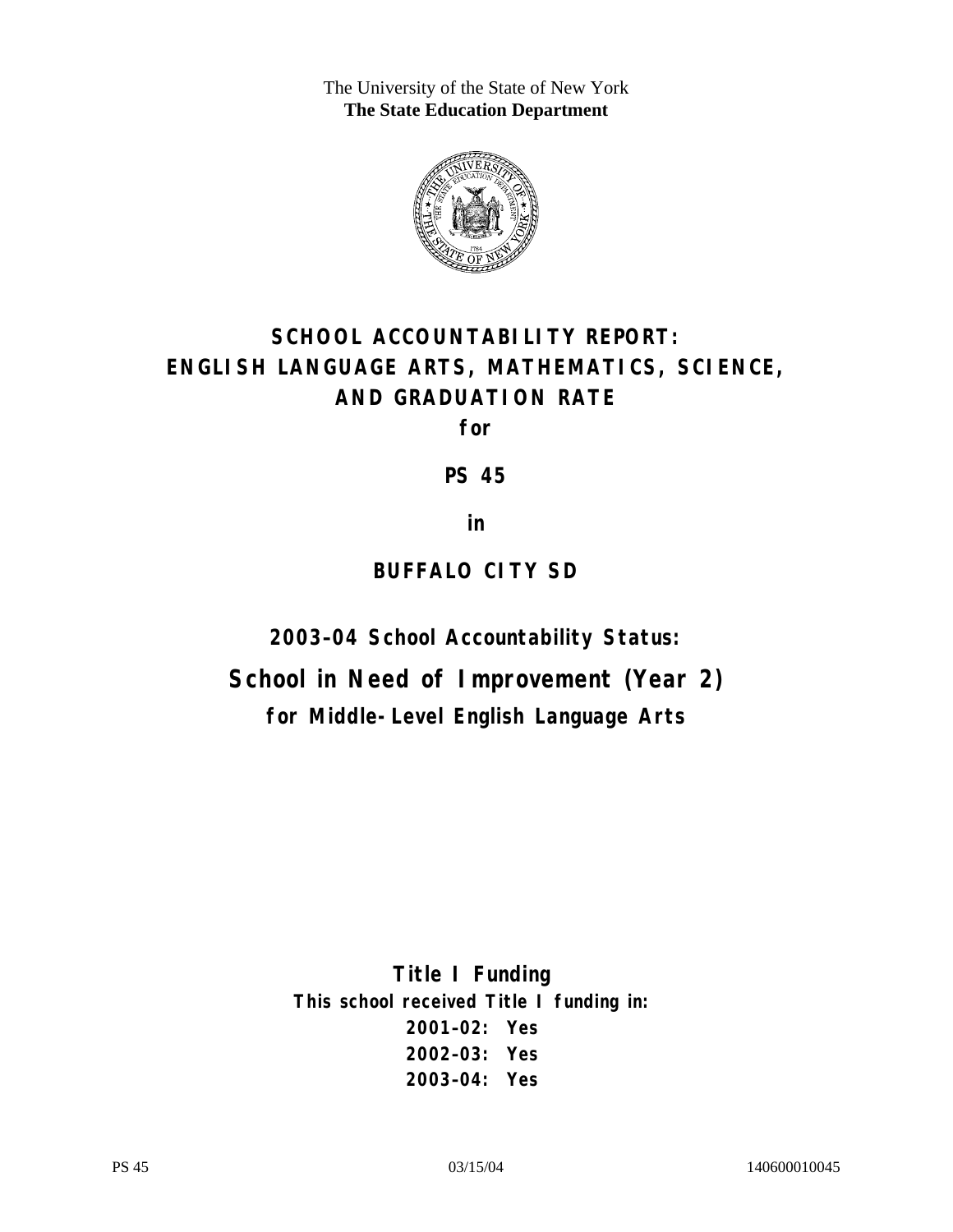The University of the State of New York **The State Education Department** 



# **SCHOOL ACCOUNTABILITY REPORT: ENGLISH LANGUAGE ARTS, MATHEMATICS, SCIENCE, AND GRADUATION RATE**

**for** 

**PS 45** 

**in** 

## **BUFFALO CITY SD**

**2003–04 School Accountability Status:** 

**School in Need of Improvement (Year 2) for Middle-Level English Language Arts**

> **Title I Funding This school received Title I funding in: 2001–02: Yes 2002–03: Yes 2003–04: Yes**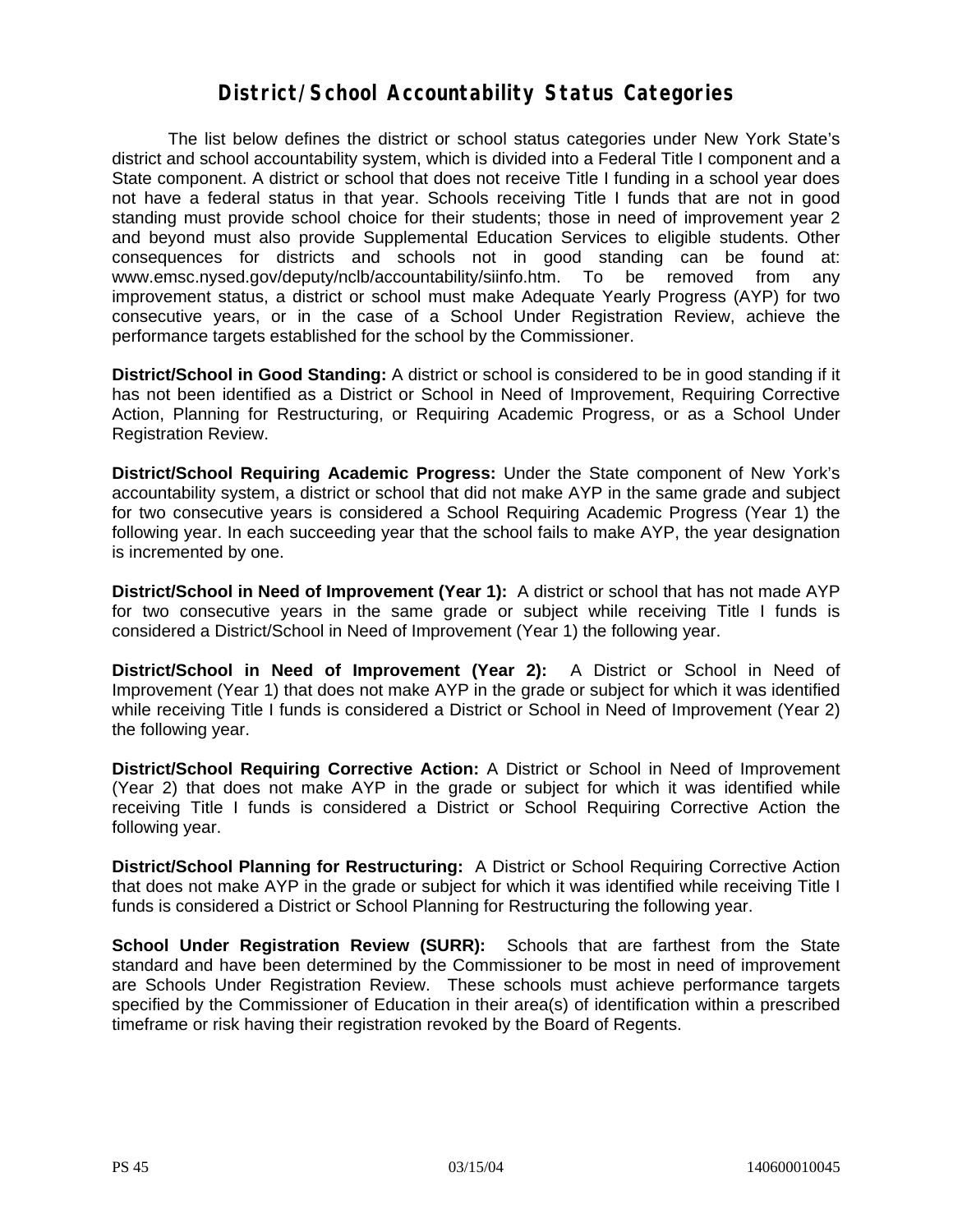### **District/School Accountability Status Categories**

The list below defines the district or school status categories under New York State's district and school accountability system, which is divided into a Federal Title I component and a State component. A district or school that does not receive Title I funding in a school year does not have a federal status in that year. Schools receiving Title I funds that are not in good standing must provide school choice for their students; those in need of improvement year 2 and beyond must also provide Supplemental Education Services to eligible students. Other consequences for districts and schools not in good standing can be found at: www.emsc.nysed.gov/deputy/nclb/accountability/siinfo.htm. To be removed from any improvement status, a district or school must make Adequate Yearly Progress (AYP) for two consecutive years, or in the case of a School Under Registration Review, achieve the performance targets established for the school by the Commissioner.

**District/School in Good Standing:** A district or school is considered to be in good standing if it has not been identified as a District or School in Need of Improvement, Requiring Corrective Action, Planning for Restructuring, or Requiring Academic Progress, or as a School Under Registration Review.

**District/School Requiring Academic Progress:** Under the State component of New York's accountability system, a district or school that did not make AYP in the same grade and subject for two consecutive years is considered a School Requiring Academic Progress (Year 1) the following year. In each succeeding year that the school fails to make AYP, the year designation is incremented by one.

**District/School in Need of Improvement (Year 1):** A district or school that has not made AYP for two consecutive years in the same grade or subject while receiving Title I funds is considered a District/School in Need of Improvement (Year 1) the following year.

**District/School in Need of Improvement (Year 2):** A District or School in Need of Improvement (Year 1) that does not make AYP in the grade or subject for which it was identified while receiving Title I funds is considered a District or School in Need of Improvement (Year 2) the following year.

**District/School Requiring Corrective Action:** A District or School in Need of Improvement (Year 2) that does not make AYP in the grade or subject for which it was identified while receiving Title I funds is considered a District or School Requiring Corrective Action the following year.

**District/School Planning for Restructuring:** A District or School Requiring Corrective Action that does not make AYP in the grade or subject for which it was identified while receiving Title I funds is considered a District or School Planning for Restructuring the following year.

**School Under Registration Review (SURR):** Schools that are farthest from the State standard and have been determined by the Commissioner to be most in need of improvement are Schools Under Registration Review. These schools must achieve performance targets specified by the Commissioner of Education in their area(s) of identification within a prescribed timeframe or risk having their registration revoked by the Board of Regents.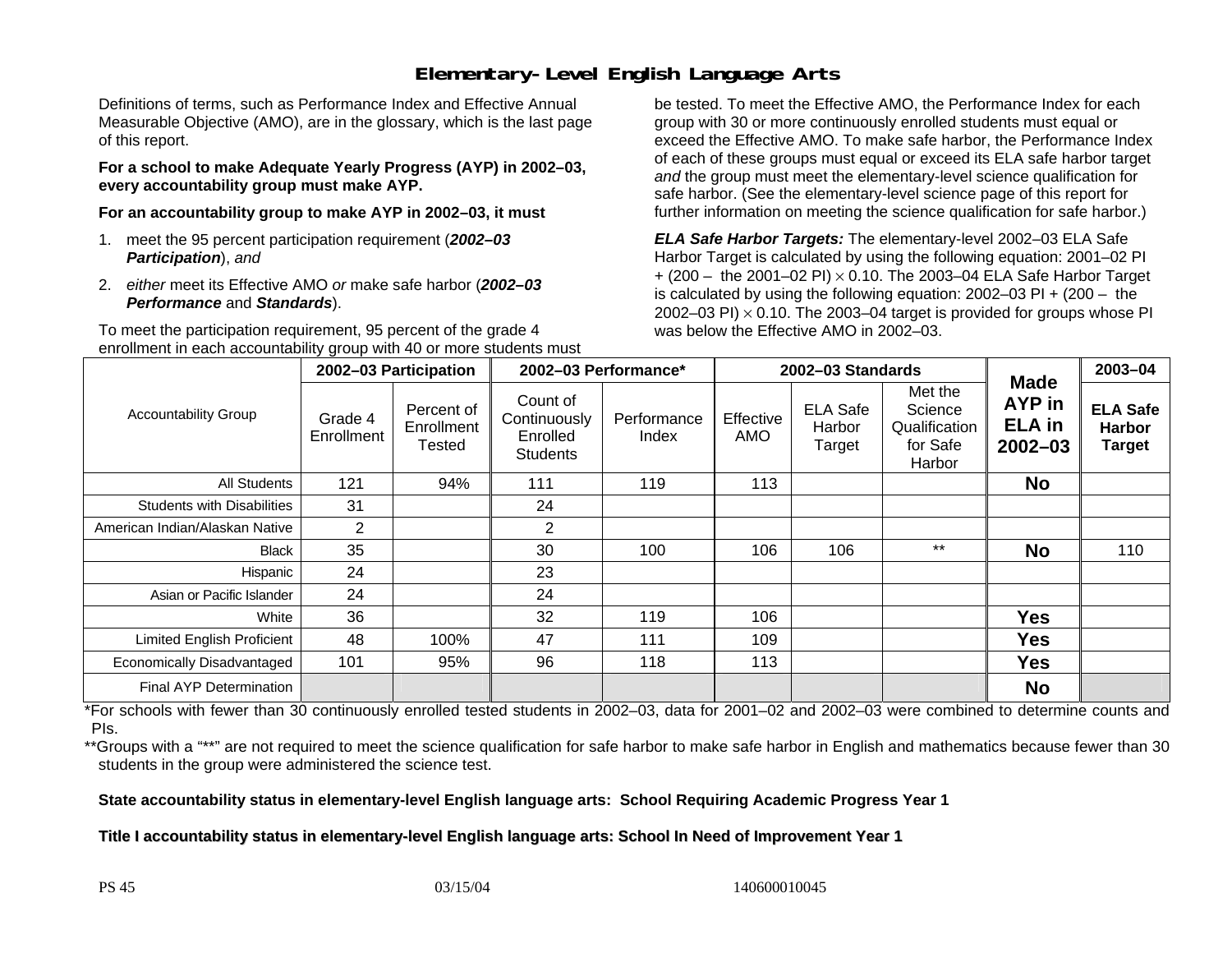## **Elementary-Level English Language Arts**

Definitions of terms, such as Performance Index and Effective Annual Measurable Objective (AMO), are in the glossary, which is the last page of this report.

**For a school to make Adequate Yearly Progress (AYP) in 2002–03, every accountability group must make AYP.** 

**For an accountability group to make AYP in 2002–03, it must** 

- 1. meet the 95 percent participation requirement (*2002–03 Participation*), *and*
- 2. *either* meet its Effective AMO *or* make safe harbor (*2002–03 Performance* and *Standards*).

To meet the participation requirement, 95 percent of the grade 4 enrollment in each accountability group with 40 or more students must

be tested. To meet the Effective AMO, the Performance Index for each group with 30 or more continuously enrolled students must equal or exceed the Effective AMO. To make safe harbor, the Performance Index of each of these groups must equal or exceed its ELA safe harbor target *and* the group must meet the elementary-level science qualification for safe harbor. (See the elementary-level science page of this report for further information on meeting the science qualification for safe harbor.)

*ELA Safe Harbor Targets:* The elementary-level 2002–03 ELA Safe Harbor Target is calculated by using the following equation: 2001–02 PI + (200 – the 2001–02 PI) <sup>×</sup> 0.10. The 2003–04 ELA Safe Harbor Target is calculated by using the following equation: 2002–03 PI + (200 – the 2002–03 PI)  $\times$  0.10. The 2003–04 target is provided for groups whose PI was below the Effective AMO in 2002–03.

|                                   |                       | 2002-03 Participation              | 2002-03 Performance*<br>2002-03 Standards               |                      |                  |                                     | 2003-04                                                   |                                                              |                                                   |
|-----------------------------------|-----------------------|------------------------------------|---------------------------------------------------------|----------------------|------------------|-------------------------------------|-----------------------------------------------------------|--------------------------------------------------------------|---------------------------------------------------|
| <b>Accountability Group</b>       | Grade 4<br>Enrollment | Percent of<br>Enrollment<br>Tested | Count of<br>Continuously<br>Enrolled<br><b>Students</b> | Performance<br>Index | Effective<br>AMO | <b>ELA Safe</b><br>Harbor<br>Target | Met the<br>Science<br>Qualification<br>for Safe<br>Harbor | <b>Made</b><br><b>AYP</b> in<br><b>ELA</b> in<br>$2002 - 03$ | <b>ELA Safe</b><br><b>Harbor</b><br><b>Target</b> |
| All Students                      | 121                   | 94%                                | 111                                                     | 119                  | 113              |                                     |                                                           | <b>No</b>                                                    |                                                   |
| <b>Students with Disabilities</b> | 31                    |                                    | 24                                                      |                      |                  |                                     |                                                           |                                                              |                                                   |
| American Indian/Alaskan Native    | 2                     |                                    | 2                                                       |                      |                  |                                     |                                                           |                                                              |                                                   |
| <b>Black</b>                      | 35                    |                                    | 30                                                      | 100                  | 106              | 106                                 | $***$                                                     | <b>No</b>                                                    | 110                                               |
| Hispanic                          | 24                    |                                    | 23                                                      |                      |                  |                                     |                                                           |                                                              |                                                   |
| Asian or Pacific Islander         | 24                    |                                    | 24                                                      |                      |                  |                                     |                                                           |                                                              |                                                   |
| White                             | 36                    |                                    | 32                                                      | 119                  | 106              |                                     |                                                           | <b>Yes</b>                                                   |                                                   |
| <b>Limited English Proficient</b> | 48                    | 100%                               | 47                                                      | 111                  | 109              |                                     |                                                           | <b>Yes</b>                                                   |                                                   |
| Economically Disadvantaged        | 101                   | 95%                                | 96                                                      | 118                  | 113              |                                     |                                                           | <b>Yes</b>                                                   |                                                   |
| <b>Final AYP Determination</b>    |                       |                                    |                                                         |                      |                  |                                     |                                                           | <b>No</b>                                                    |                                                   |

\*For schools with fewer than 30 continuously enrolled tested students in 2002–03, data for 2001–02 and 2002–03 were combined to determine counts and PIs.

\*\*Groups with a "\*\*" are not required to meet the science qualification for safe harbor to make safe harbor in English and mathematics because fewer than 30 students in the group were administered the science test.

**State accountability status in elementary-level English language arts: School Requiring Academic Progress Year 1** 

Title I accountability status in elementary-level English language arts: School In Need of Improvement Year 1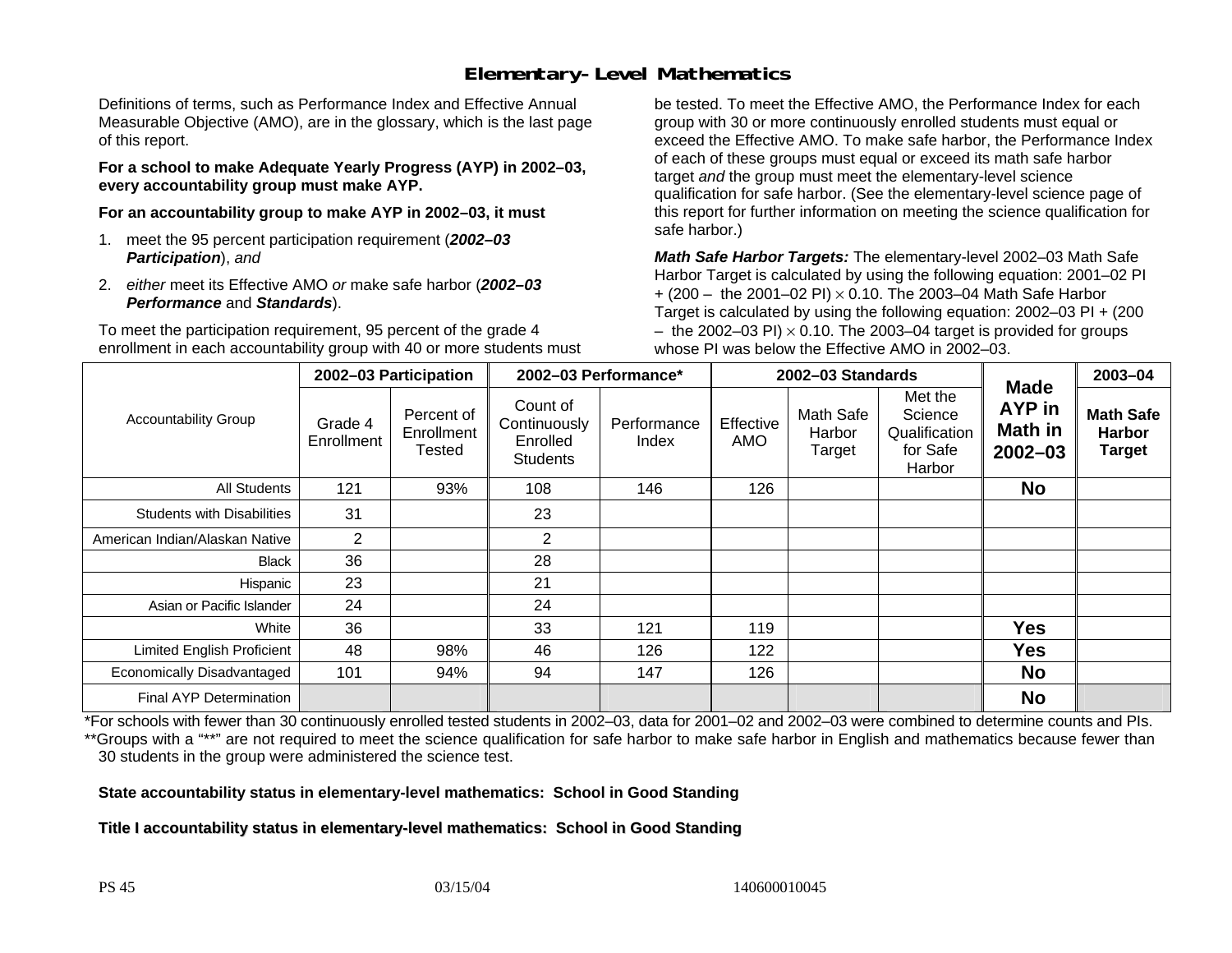## **Elementary-Level Mathematics**

Definitions of terms, such as Performance Index and Effective Annual Measurable Objective (AMO), are in the glossary, which is the last page of this report.

**For a school to make Adequate Yearly Progress (AYP) in 2002–03, every accountability group must make AYP.** 

**For an accountability group to make AYP in 2002–03, it must** 

- 1. meet the 95 percent participation requirement (*2002–03 Participation*), *and*
- 2. *either* meet its Effective AMO *or* make safe harbor (*2002–03 Performance* and *Standards*).

To meet the participation requirement, 95 percent of the grade 4 enrollment in each accountability group with 40 or more students must

be tested. To meet the Effective AMO, the Performance Index for each group with 30 or more continuously enrolled students must equal or exceed the Effective AMO. To make safe harbor, the Performance Index of each of these groups must equal or exceed its math safe harbor target *and* the group must meet the elementary-level science qualification for safe harbor. (See the elementary-level science page of this report for further information on meeting the science qualification for safe harbor.)

*Math Safe Harbor Targets:* The elementary-level 2002–03 Math Safe Harbor Target is calculated by using the following equation: 2001–02 PI + (200 – the 2001–02 PI) × 0.10. The 2003–04 Math Safe Harbor Target is calculated by using the following equation: 2002–03 PI + (200  $-$  the 2002–03 PI)  $\times$  0.10. The 2003–04 target is provided for groups whose PI was below the Effective AMO in 2002–03.

|                                   | 2002-03 Participation |                                    | 2002-03 Performance*                                    |                      |                         | 2002-03 Standards             |                                                           | 2003-04                                                       |                                                    |
|-----------------------------------|-----------------------|------------------------------------|---------------------------------------------------------|----------------------|-------------------------|-------------------------------|-----------------------------------------------------------|---------------------------------------------------------------|----------------------------------------------------|
| <b>Accountability Group</b>       | Grade 4<br>Enrollment | Percent of<br>Enrollment<br>Tested | Count of<br>Continuously<br>Enrolled<br><b>Students</b> | Performance<br>Index | Effective<br><b>AMO</b> | Math Safe<br>Harbor<br>Target | Met the<br>Science<br>Qualification<br>for Safe<br>Harbor | <b>Made</b><br><b>AYP</b> in<br><b>Math in</b><br>$2002 - 03$ | <b>Math Safe</b><br><b>Harbor</b><br><b>Target</b> |
| All Students                      | 121                   | 93%                                | 108                                                     | 146                  | 126                     |                               |                                                           | <b>No</b>                                                     |                                                    |
| <b>Students with Disabilities</b> | 31                    |                                    | 23                                                      |                      |                         |                               |                                                           |                                                               |                                                    |
| American Indian/Alaskan Native    | 2                     |                                    | $\overline{2}$                                          |                      |                         |                               |                                                           |                                                               |                                                    |
| <b>Black</b>                      | 36                    |                                    | 28                                                      |                      |                         |                               |                                                           |                                                               |                                                    |
| Hispanic                          | 23                    |                                    | 21                                                      |                      |                         |                               |                                                           |                                                               |                                                    |
| Asian or Pacific Islander         | 24                    |                                    | 24                                                      |                      |                         |                               |                                                           |                                                               |                                                    |
| White                             | 36                    |                                    | 33                                                      | 121                  | 119                     |                               |                                                           | <b>Yes</b>                                                    |                                                    |
| <b>Limited English Proficient</b> | 48                    | 98%                                | 46                                                      | 126                  | 122                     |                               |                                                           | <b>Yes</b>                                                    |                                                    |
| Economically Disadvantaged        | 101                   | 94%                                | 94                                                      | 147                  | 126                     |                               |                                                           | <b>No</b>                                                     |                                                    |
| <b>Final AYP Determination</b>    |                       |                                    |                                                         |                      |                         |                               |                                                           | <b>No</b>                                                     |                                                    |

\*For schools with fewer than 30 continuously enrolled tested students in 2002–03, data for 2001–02 and 2002–03 were combined to determine counts and PIs. \*\*Groups with a "\*\*" are not required to meet the science qualification for safe harbor to make safe harbor in English and mathematics because fewer than 30 students in the group were administered the science test.

**State accountability status in elementary-level mathematics: School in Good Standing** 

Title I accountability status in elementary-level mathematics: School in Good Standing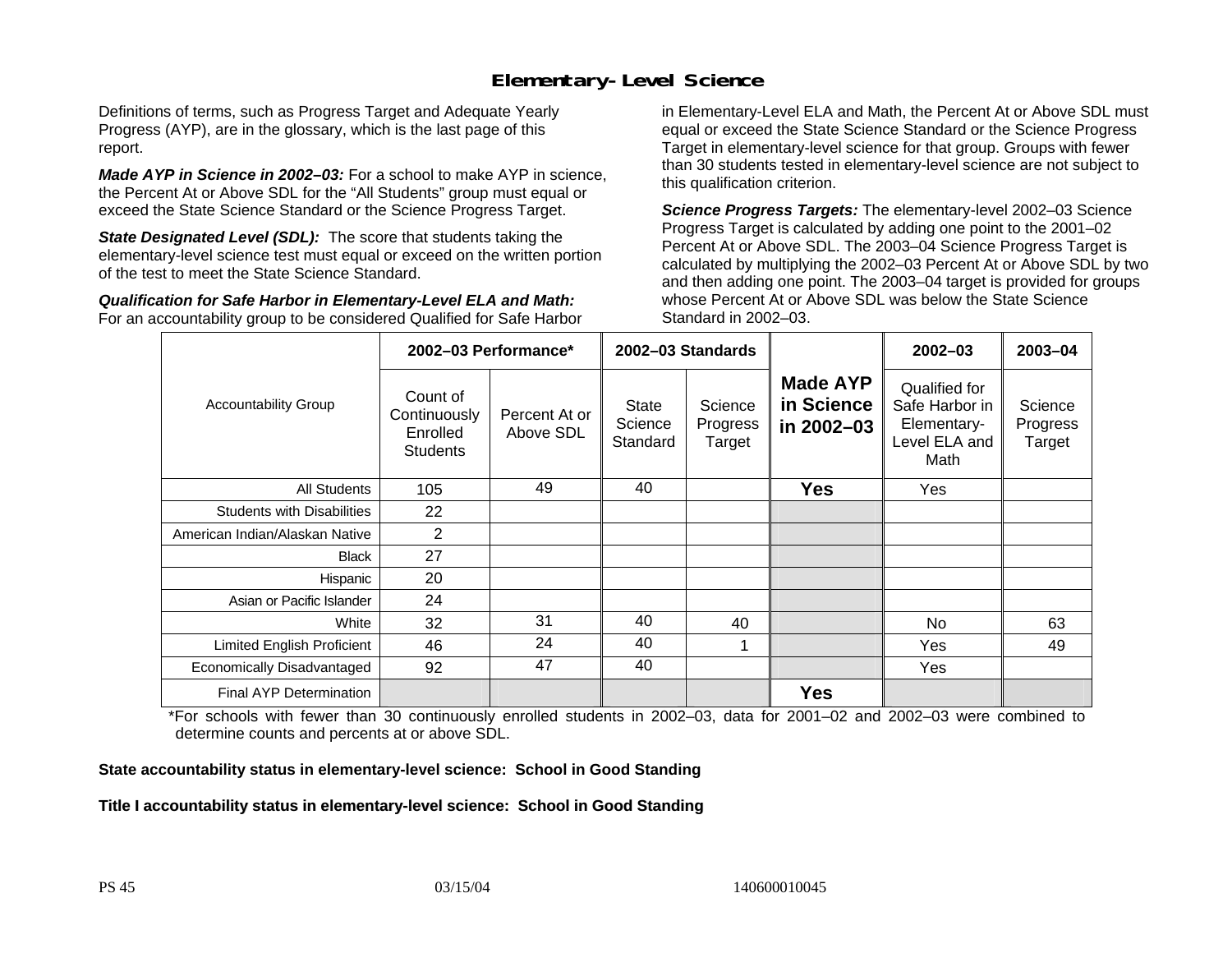### **Elementary-Level Science**

Definitions of terms, such as Progress Target and Adequate Yearly Progress (AYP), are in the glossary, which is the last page of this report.

*Made AYP in Science in 2002–03:* For a school to make AYP in science, the Percent At or Above SDL for the "All Students" group must equal or exceed the State Science Standard or the Science Progress Target.

**State Designated Level (SDL):** The score that students taking the elementary-level science test must equal or exceed on the written portion of the test to meet the State Science Standard.

*Qualification for Safe Harbor in Elementary-Level ELA and Math:* For an accountability group to be considered Qualified for Safe Harbor in Elementary-Level ELA and Math, the Percent At or Above SDL must equal or exceed the State Science Standard or the Science Progress Target in elementary-level science for that group. Groups with fewer than 30 students tested in elementary-level science are not subject to this qualification criterion.

*Science Progress Targets:* The elementary-level 2002–03 Science Progress Target is calculated by adding one point to the 2001–02 Percent At or Above SDL. The 2003–04 Science Progress Target is calculated by multiplying the 2002–03 Percent At or Above SDL by two and then adding one point. The 2003–04 target is provided for groups whose Percent At or Above SDL was below the State Science Standard in 2002–03.

|                                   |                                                         | 2002-03 Performance*       | 2002-03 Standards            |                               |                                             | $2002 - 03$                                                             | $2003 - 04$                   |
|-----------------------------------|---------------------------------------------------------|----------------------------|------------------------------|-------------------------------|---------------------------------------------|-------------------------------------------------------------------------|-------------------------------|
| <b>Accountability Group</b>       | Count of<br>Continuously<br>Enrolled<br><b>Students</b> | Percent At or<br>Above SDL | State<br>Science<br>Standard | Science<br>Progress<br>Target | <b>Made AYP</b><br>in Science<br>in 2002-03 | Qualified for<br>Safe Harbor in<br>Elementary-<br>Level ELA and<br>Math | Science<br>Progress<br>Target |
| <b>All Students</b>               | 105                                                     | 49                         | 40                           |                               | <b>Yes</b>                                  | Yes                                                                     |                               |
| <b>Students with Disabilities</b> | 22                                                      |                            |                              |                               |                                             |                                                                         |                               |
| American Indian/Alaskan Native    | $\overline{2}$                                          |                            |                              |                               |                                             |                                                                         |                               |
| <b>Black</b>                      | 27                                                      |                            |                              |                               |                                             |                                                                         |                               |
| Hispanic                          | 20                                                      |                            |                              |                               |                                             |                                                                         |                               |
| Asian or Pacific Islander         | 24                                                      |                            |                              |                               |                                             |                                                                         |                               |
| White                             | 32                                                      | 31                         | 40                           | 40                            |                                             | No                                                                      | 63                            |
| Limited English Proficient        | 46                                                      | 24                         | 40                           | 1                             |                                             | Yes                                                                     | 49                            |
| Economically Disadvantaged        | 92                                                      | 47                         | 40                           |                               |                                             | <b>Yes</b>                                                              |                               |
| Final AYP Determination           |                                                         |                            |                              |                               | <b>Yes</b>                                  |                                                                         |                               |

\*For schools with fewer than 30 continuously enrolled students in 2002–03, data for 2001–02 and 2002–03 were combined to determine counts and percents at or above SDL.

#### **State accountability status in elementary-level science: School in Good Standing**

#### Title I accountability status in elementary-level science: School in Good Standing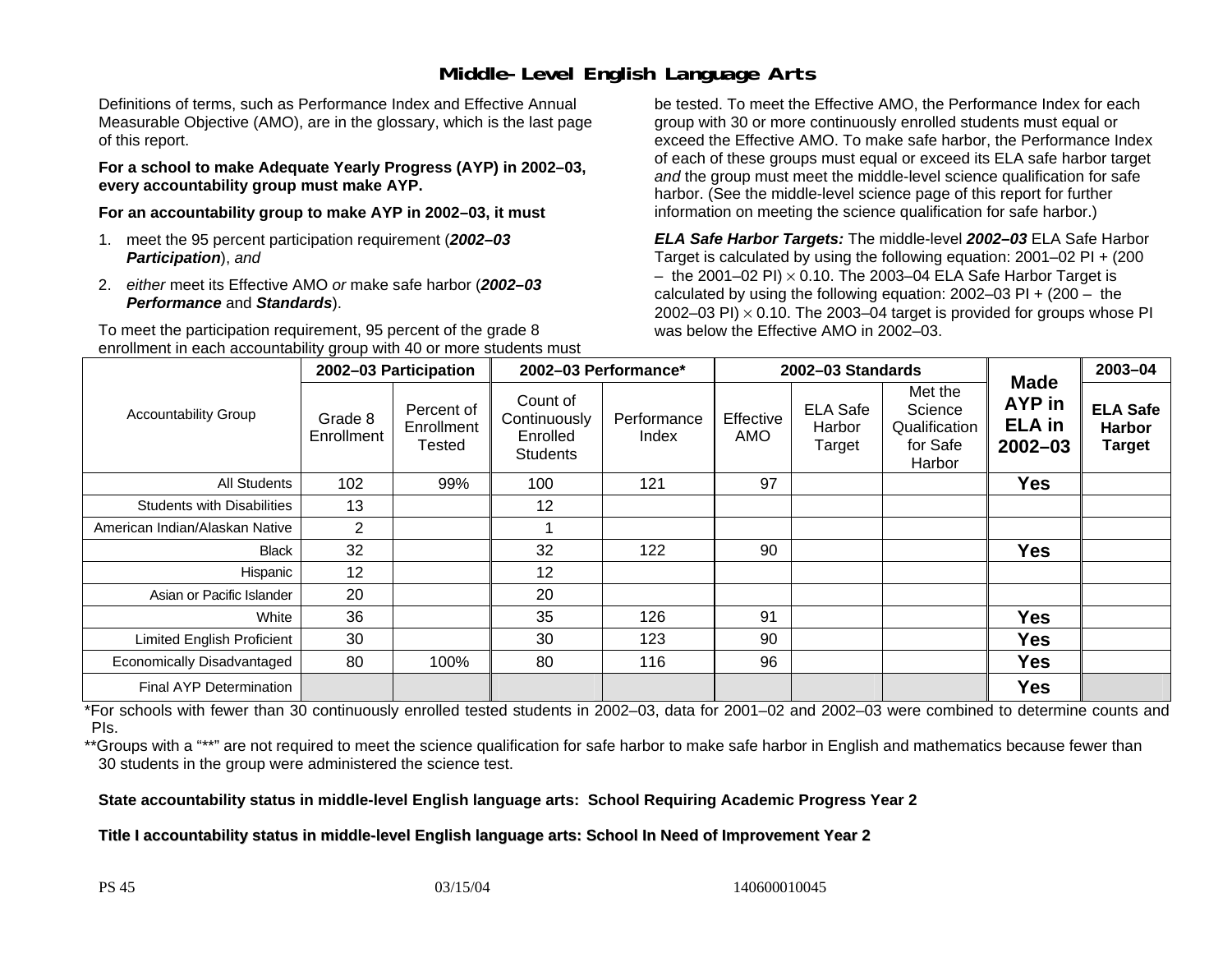### **Middle-Level English Language Arts**

Definitions of terms, such as Performance Index and Effective Annual Measurable Objective (AMO), are in the glossary, which is the last page of this report.

**For a school to make Adequate Yearly Progress (AYP) in 2002–03, every accountability group must make AYP.** 

**For an accountability group to make AYP in 2002–03, it must** 

- 1. meet the 95 percent participation requirement (*2002–03 Participation*), *and*
- 2. *either* meet its Effective AMO *or* make safe harbor (*2002–03 Performance* and *Standards*).

To meet the participation requirement, 95 percent of the grade 8 enrollment in each accountability group with 40 or more students must

be tested. To meet the Effective AMO, the Performance Index for each group with 30 or more continuously enrolled students must equal or exceed the Effective AMO. To make safe harbor, the Performance Index of each of these groups must equal or exceed its ELA safe harbor target *and* the group must meet the middle-level science qualification for safe harbor. (See the middle-level science page of this report for further information on meeting the science qualification for safe harbor.)

*ELA Safe Harbor Targets:* The middle-level *2002–03* ELA Safe Harbor Target is calculated by using the following equation: 2001–02 PI + (200  $-$  the 2001–02 PI)  $\times$  0.10. The 2003–04 ELA Safe Harbor Target is  $\,$ calculated by using the following equation:  $2002-03$  PI +  $(200 -$  the 2002–03 PI)  $\times$  0.10. The 2003–04 target is provided for groups whose PI was below the Effective AMO in 2002–03.

|                                   | 2002-03 Participation |                                    | 2002-03 Performance*                                    |                      |                  | 2002-03 Standards                   |                                                           | 2003-04                                               |                                                   |
|-----------------------------------|-----------------------|------------------------------------|---------------------------------------------------------|----------------------|------------------|-------------------------------------|-----------------------------------------------------------|-------------------------------------------------------|---------------------------------------------------|
| <b>Accountability Group</b>       | Grade 8<br>Enrollment | Percent of<br>Enrollment<br>Tested | Count of<br>Continuously<br>Enrolled<br><b>Students</b> | Performance<br>Index | Effective<br>AMO | <b>ELA Safe</b><br>Harbor<br>Target | Met the<br>Science<br>Qualification<br>for Safe<br>Harbor | <b>Made</b><br>AYP in<br><b>ELA</b> in<br>$2002 - 03$ | <b>ELA Safe</b><br><b>Harbor</b><br><b>Target</b> |
| <b>All Students</b>               | 102                   | 99%                                | 100                                                     | 121                  | 97               |                                     |                                                           | <b>Yes</b>                                            |                                                   |
| <b>Students with Disabilities</b> | 13                    |                                    | 12                                                      |                      |                  |                                     |                                                           |                                                       |                                                   |
| American Indian/Alaskan Native    | $\overline{2}$        |                                    |                                                         |                      |                  |                                     |                                                           |                                                       |                                                   |
| <b>Black</b>                      | 32                    |                                    | 32                                                      | 122                  | 90               |                                     |                                                           | <b>Yes</b>                                            |                                                   |
| Hispanic                          | 12                    |                                    | 12                                                      |                      |                  |                                     |                                                           |                                                       |                                                   |
| Asian or Pacific Islander         | 20                    |                                    | 20                                                      |                      |                  |                                     |                                                           |                                                       |                                                   |
| White                             | 36                    |                                    | 35                                                      | 126                  | 91               |                                     |                                                           | <b>Yes</b>                                            |                                                   |
| <b>Limited English Proficient</b> | 30                    |                                    | 30                                                      | 123                  | 90               |                                     |                                                           | <b>Yes</b>                                            |                                                   |
| Economically Disadvantaged        | 80                    | 100%                               | 80                                                      | 116                  | 96               |                                     |                                                           | <b>Yes</b>                                            |                                                   |
| <b>Final AYP Determination</b>    |                       |                                    |                                                         |                      |                  |                                     |                                                           | <b>Yes</b>                                            |                                                   |

\*For schools with fewer than 30 continuously enrolled tested students in 2002–03, data for 2001–02 and 2002–03 were combined to determine counts and PIs.

\*\*Groups with a "\*\*" are not required to meet the science qualification for safe harbor to make safe harbor in English and mathematics because fewer than 30 students in the group were administered the science test.

**State accountability status in middle-level English language arts: School Requiring Academic Progress Year 2** 

Title I accountability status in middle-level English language arts: School In Need of Improvement Year 2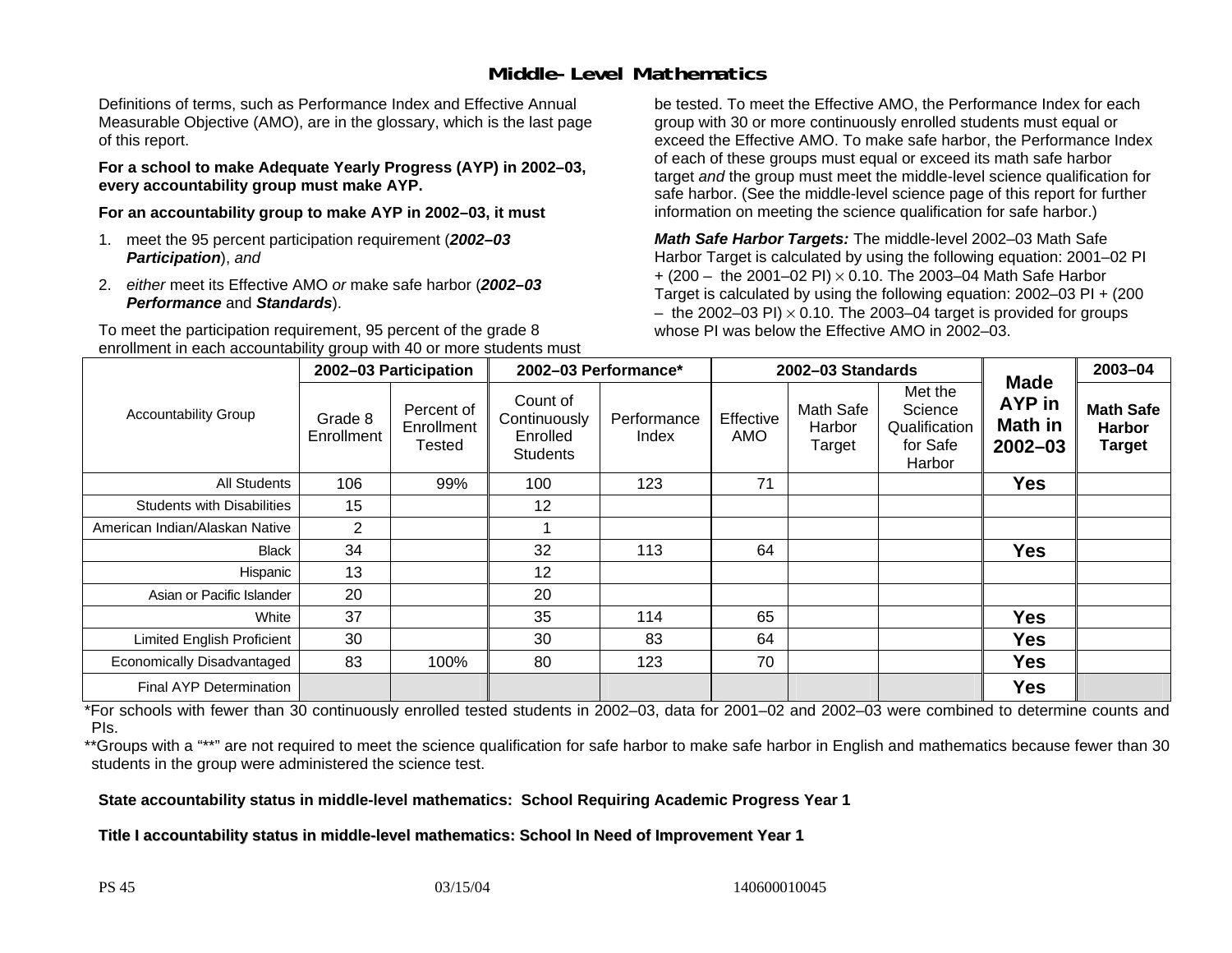### **Middle-Level Mathematics**

Definitions of terms, such as Performance Index and Effective Annual Measurable Objective (AMO), are in the glossary, which is the last page of this report.

**For a school to make Adequate Yearly Progress (AYP) in 2002–03, every accountability group must make AYP.** 

**For an accountability group to make AYP in 2002–03, it must** 

- 1. meet the 95 percent participation requirement (*2002–03 Participation*), *and*
- 2. *either* meet its Effective AMO *or* make safe harbor (*2002–03 Performance* and *Standards*).

To meet the participation requirement, 95 percent of the grade 8 enrollment in each accountability group with 40 or more students must be tested. To meet the Effective AMO, the Performance Index for each group with 30 or more continuously enrolled students must equal or exceed the Effective AMO. To make safe harbor, the Performance Index of each of these groups must equal or exceed its math safe harbor target *and* the group must meet the middle-level science qualification for safe harbor. (See the middle-level science page of this report for further information on meeting the science qualification for safe harbor.)

*Math Safe Harbor Targets:* The middle-level 2002–03 Math Safe Harbor Target is calculated by using the following equation: 2001–02 PI + (200 – the 2001–02 PI) × 0.10. The 2003–04 Math Safe Harbor Target is calculated by using the following equation: 2002–03 PI + (200  $-$  the 2002–03 PI)  $\times$  0.10. The 2003–04 target is provided for groups whose PI was below the Effective AMO in 2002–03.

|                                   | 2002-03 Participation |                                    | 2002-03 Performance*                                    |                      |                  | 2002-03 Standards             |                                                           | 2003-04                                                |                                                    |
|-----------------------------------|-----------------------|------------------------------------|---------------------------------------------------------|----------------------|------------------|-------------------------------|-----------------------------------------------------------|--------------------------------------------------------|----------------------------------------------------|
| <b>Accountability Group</b>       | Grade 8<br>Enrollment | Percent of<br>Enrollment<br>Tested | Count of<br>Continuously<br>Enrolled<br><b>Students</b> | Performance<br>Index | Effective<br>AMO | Math Safe<br>Harbor<br>Target | Met the<br>Science<br>Qualification<br>for Safe<br>Harbor | <b>Made</b><br>AYP in<br><b>Math in</b><br>$2002 - 03$ | <b>Math Safe</b><br><b>Harbor</b><br><b>Target</b> |
| All Students                      | 106                   | 99%                                | 100                                                     | 123                  | 71               |                               |                                                           | <b>Yes</b>                                             |                                                    |
| <b>Students with Disabilities</b> | 15                    |                                    | 12                                                      |                      |                  |                               |                                                           |                                                        |                                                    |
| American Indian/Alaskan Native    | $\overline{2}$        |                                    |                                                         |                      |                  |                               |                                                           |                                                        |                                                    |
| <b>Black</b>                      | 34                    |                                    | 32                                                      | 113                  | 64               |                               |                                                           | <b>Yes</b>                                             |                                                    |
| Hispanic                          | 13                    |                                    | 12                                                      |                      |                  |                               |                                                           |                                                        |                                                    |
| Asian or Pacific Islander         | 20                    |                                    | 20                                                      |                      |                  |                               |                                                           |                                                        |                                                    |
| White                             | 37                    |                                    | 35                                                      | 114                  | 65               |                               |                                                           | <b>Yes</b>                                             |                                                    |
| Limited English Proficient        | 30                    |                                    | 30                                                      | 83                   | 64               |                               |                                                           | Yes                                                    |                                                    |
| Economically Disadvantaged        | 83                    | 100%                               | 80                                                      | 123                  | 70               |                               |                                                           | Yes                                                    |                                                    |
| <b>Final AYP Determination</b>    |                       |                                    |                                                         |                      |                  |                               |                                                           | <b>Yes</b>                                             |                                                    |

\*For schools with fewer than 30 continuously enrolled tested students in 2002–03, data for 2001–02 and 2002–03 were combined to determine counts and PIs.

\*\*Groups with a "\*\*" are not required to meet the science qualification for safe harbor to make safe harbor in English and mathematics because fewer than 30 students in the group were administered the science test.

**State accountability status in middle-level mathematics: School Requiring Academic Progress Year 1** 

Title I accountability status in middle-level mathematics: School In Need of Improvement Year 1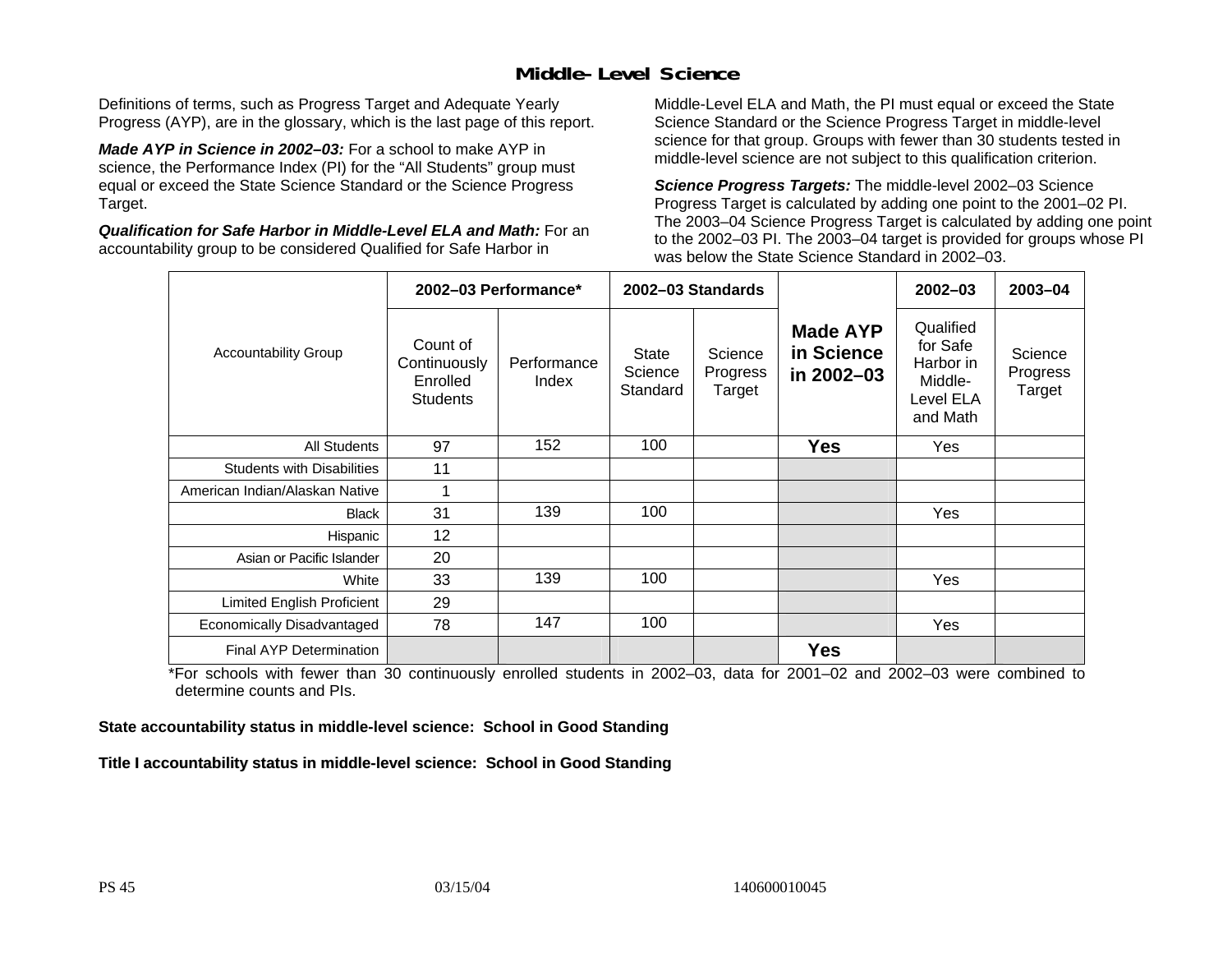### **Middle-Level Science**

Definitions of terms, such as Progress Target and Adequate Yearly Progress (AYP), are in the glossary, which is the last page of this report.

*Made AYP in Science in 2002–03:* For a school to make AYP in science, the Performance Index (PI) for the "All Students" group must equal or exceed the State Science Standard or the Science Progress Target.

*Qualification for Safe Harbor in Middle-Level ELA and Math:* For an accountability group to be considered Qualified for Safe Harbor in

Middle-Level ELA and Math, the PI must equal or exceed the State Science Standard or the Science Progress Target in middle-level science for that group. Groups with fewer than 30 students tested in middle-level science are not subject to this qualification criterion.

*Science Progress Targets:* The middle-level 2002–03 Science Progress Target is calculated by adding one point to the 2001–02 PI. The 2003–04 Science Progress Target is calculated by adding one point to the 2002–03 PI. The 2003–04 target is provided for groups whose PI was below the State Science Standard in 2002–03.

|                                   |                                                         | 2002-03 Performance* |                              | 2002-03 Standards             |                                             | $2002 - 03$                                                            | 2003-04                       |
|-----------------------------------|---------------------------------------------------------|----------------------|------------------------------|-------------------------------|---------------------------------------------|------------------------------------------------------------------------|-------------------------------|
| <b>Accountability Group</b>       | Count of<br>Continuously<br>Enrolled<br><b>Students</b> | Performance<br>Index | State<br>Science<br>Standard | Science<br>Progress<br>Target | <b>Made AYP</b><br>in Science<br>in 2002-03 | Qualified<br>for Safe<br>Harbor in<br>Middle-<br>Level ELA<br>and Math | Science<br>Progress<br>Target |
| <b>All Students</b>               | 97                                                      | 152                  | 100                          |                               | <b>Yes</b>                                  | Yes                                                                    |                               |
| <b>Students with Disabilities</b> | 11                                                      |                      |                              |                               |                                             |                                                                        |                               |
| American Indian/Alaskan Native    | 1                                                       |                      |                              |                               |                                             |                                                                        |                               |
| <b>Black</b>                      | 31                                                      | 139                  | 100                          |                               |                                             | Yes                                                                    |                               |
| Hispanic                          | 12                                                      |                      |                              |                               |                                             |                                                                        |                               |
| Asian or Pacific Islander         | 20                                                      |                      |                              |                               |                                             |                                                                        |                               |
| White                             | 33                                                      | 139                  | 100                          |                               |                                             | Yes                                                                    |                               |
| Limited English Proficient        | 29                                                      |                      |                              |                               |                                             |                                                                        |                               |
| Economically Disadvantaged        | 78                                                      | 147                  | 100                          |                               |                                             | Yes                                                                    |                               |
| <b>Final AYP Determination</b>    |                                                         |                      |                              |                               | <b>Yes</b>                                  |                                                                        |                               |

\*For schools with fewer than 30 continuously enrolled students in 2002–03, data for 2001–02 and 2002–03 were combined to determine counts and PIs.

**State accountability status in middle-level science: School in Good Standing** 

Title I accountability status in middle-level science: School in Good Standing